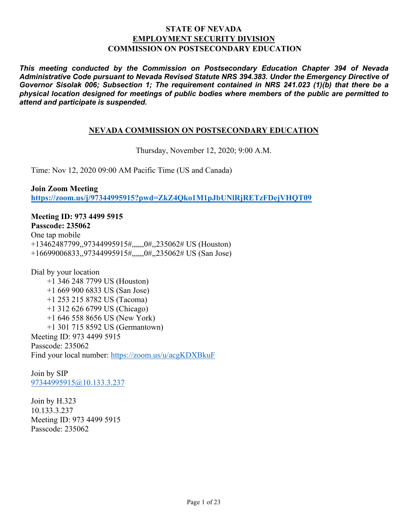## **STATE OF NEVADA EMPLOYMENT SECURITY DIVISION COMMISSION ON POSTSECONDARY EDUCATION**

*This meeting conducted by the Commission on Postsecondary Education Chapter 394 of Nevada Administrative Code pursuant to Nevada Revised Statute NRS 394.383. Under the Emergency Directive of Governor Sisolak 006; Subsection 1; The requirement contained in NRS 241.023 (1)(b) that there be a physical location designed for meetings of public bodies where members of the public are permitted to attend and participate is suspended.*

## **NEVADA COMMISSION ON POSTSECONDARY EDUCATION**

Thursday, November 12, 2020; 9:00 A.M.

Time: Nov 12, 2020 09:00 AM Pacific Time (US and Canada)

**Join Zoom Meeting <https://zoom.us/j/97344995915?pwd=ZkZ4Qko1M1pJbUNlRjRETzFDejVHQT09>**

**Meeting ID: 973 4499 5915 Passcode: 235062** One tap mobile +13462487799,,97344995915#,,,,,,0#,,235062# US (Houston) +16699006833,,97344995915#,,,,,,0#,,235062# US (San Jose)

Dial by your location +1 346 248 7799 US (Houston) +1 669 900 6833 US (San Jose) +1 253 215 8782 US (Tacoma) +1 312 626 6799 US (Chicago) +1 646 558 8656 US (New York) +1 301 715 8592 US (Germantown) Meeting ID: 973 4499 5915 Passcode: 235062 Find your local number:<https://zoom.us/u/acgKDXBkuF>

Join by SIP [97344995915@10.133.3.237](mailto:97344995915@10.133.3.237)

Join by H.323 10.133.3.237 Meeting ID: 973 4499 5915 Passcode: 235062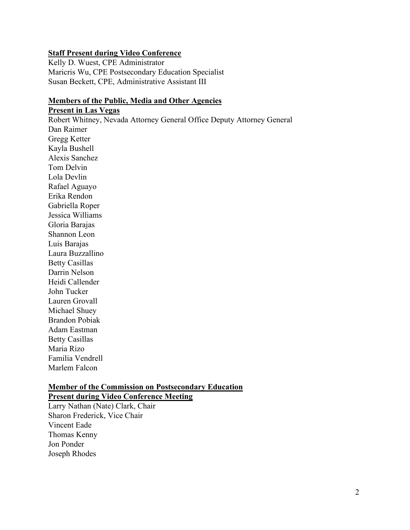### **Staff Present during Video Conference**

Kelly D. Wuest, CPE Administrator Maricris Wu, CPE Postsecondary Education Specialist Susan Beckett, CPE, Administrative Assistant III

# **Members of the Public, Media and Other Agencies**

**Present in Las Vegas** Robert Whitney, Nevada Attorney General Office Deputy Attorney General Dan Raimer Gregg Ketter Kayla Bushell Alexis Sanchez Tom Delvin Lola Devlin Rafael Aguayo Erika Rendon Gabriella Roper Jessica Williams Gloria Barajas Shannon Leon Luis Barajas Laura Buzzallino Betty Casillas Darrin Nelson Heidi Callender John Tucker Lauren Grovall Michael Shuey Brandon Pobiak Adam Eastman Betty Casillas

Maria Rizo Familia Vendrell Marlem Falcon

## **Member of the Commission on Postsecondary Education**

**Present during Video Conference Meeting** Larry Nathan (Nate) Clark, Chair Sharon Frederick, Vice Chair Vincent Eade Thomas Kenny Jon Ponder Joseph Rhodes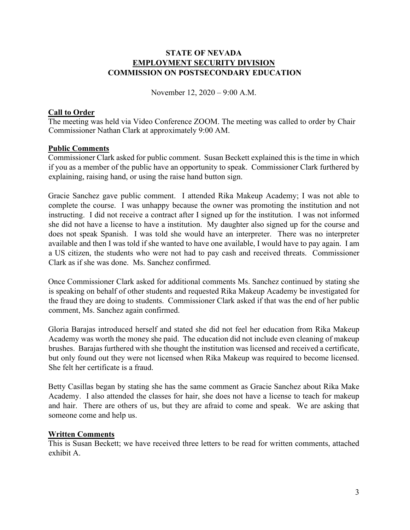## **STATE OF NEVADA EMPLOYMENT SECURITY DIVISION COMMISSION ON POSTSECONDARY EDUCATION**

November 12, 2020 – 9:00 A.M.

## **Call to Order**

The meeting was held via Video Conference ZOOM. The meeting was called to order by Chair Commissioner Nathan Clark at approximately 9:00 AM.

## **Public Comments**

Commissioner Clark asked for public comment. Susan Beckett explained this is the time in which if you as a member of the public have an opportunity to speak. Commissioner Clark furthered by explaining, raising hand, or using the raise hand button sign.

Gracie Sanchez gave public comment. I attended Rika Makeup Academy; I was not able to complete the course. I was unhappy because the owner was promoting the institution and not instructing. I did not receive a contract after I signed up for the institution. I was not informed she did not have a license to have a institution. My daughter also signed up for the course and does not speak Spanish. I was told she would have an interpreter. There was no interpreter available and then I was told if she wanted to have one available, I would have to pay again. I am a US citizen, the students who were not had to pay cash and received threats. Commissioner Clark as if she was done. Ms. Sanchez confirmed.

Once Commissioner Clark asked for additional comments Ms. Sanchez continued by stating she is speaking on behalf of other students and requested Rika Makeup Academy be investigated for the fraud they are doing to students. Commissioner Clark asked if that was the end of her public comment, Ms. Sanchez again confirmed.

Gloria Barajas introduced herself and stated she did not feel her education from Rika Makeup Academy was worth the money she paid. The education did not include even cleaning of makeup brushes. Barajas furthered with she thought the institution was licensed and received a certificate, but only found out they were not licensed when Rika Makeup was required to become licensed. She felt her certificate is a fraud.

Betty Casillas began by stating she has the same comment as Gracie Sanchez about Rika Make Academy. I also attended the classes for hair, she does not have a license to teach for makeup and hair. There are others of us, but they are afraid to come and speak. We are asking that someone come and help us.

## **Written Comments**

This is Susan Beckett; we have received three letters to be read for written comments, attached exhibit A.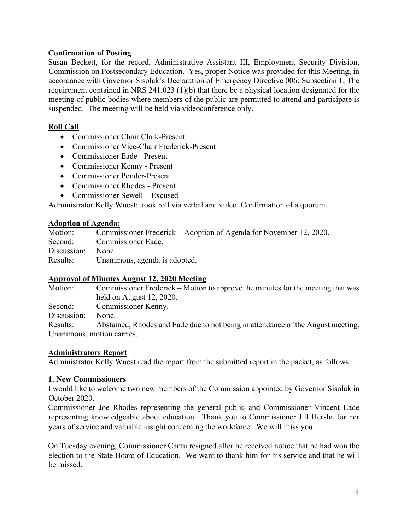# **Confirmation of Posting**

Susan Beckett, for the record, Administrative Assistant III, Employment Security Division, Commission on Postsecondary Education. Yes, proper Notice was provided for this Meeting, in accordance with Governor Sisolak's Declaration of Emergency Directive 006; Subsection 1; The requirement contained in NRS 241.023 (1)(b) that there be a physical location designated for the meeting of public bodies where members of the public are permitted to attend and participate is suspended. The meeting will be held via videoconference only.

# **Roll Call**

- Commissioner Chair Clark-Present
- Commissioner Vice-Chair Frederick-Present
- Commissioner Eade Present
- Commissioner Kenny Present
- Commissioner Ponder-Present
- Commissioner Rhodes Present
- Commissioner Sewell Excused

Administrator Kelly Wuest: took roll via verbal and video. Confirmation of a quorum.

# **Adoption of Agenda:**

|                   | Motion: Commissioner Frederick – Adoption of Agenda for November 12, 2020. |
|-------------------|----------------------------------------------------------------------------|
|                   | Second: Commissioner Eade.                                                 |
| Discussion: None. |                                                                            |
|                   | Results: Unanimous, agenda is adopted.                                     |

# **Approval of Minutes August 12, 2020 Meeting**

Motion: Commissioner Frederick – Motion to approve the minutes for the meeting that was held on August 12, 2020. Second: Commissioner Kenny. Discussion: None. Results: Abstained, Rhodes and Eade due to not being in attendance of the August meeting. Unanimous, motion carries.

# **Administrators Report**

Administrator Kelly Wuest read the report from the submitted report in the packet, as follows:

# **1. New Commissioners**

I would like to welcome two new members of the Commission appointed by Governor Sisolak in October 2020.

Commissioner Joe Rhodes representing the general public and Commissioner Vincent Eade representing knowledgeable about education. Thank you to Commissioner Jill Hersha for her years of service and valuable insight concerning the workforce. We will miss you.

On Tuesday evening, Commissioner Cantu resigned after he received notice that he had won the election to the State Board of Education. We want to thank him for his service and that he will be missed.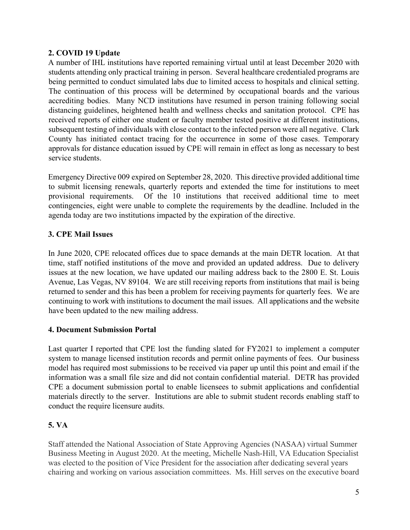# **2. COVID 19 Update**

A number of IHL institutions have reported remaining virtual until at least December 2020 with students attending only practical training in person. Several healthcare credentialed programs are being permitted to conduct simulated labs due to limited access to hospitals and clinical setting. The continuation of this process will be determined by occupational boards and the various accrediting bodies. Many NCD institutions have resumed in person training following social distancing guidelines, heightened health and wellness checks and sanitation protocol. CPE has received reports of either one student or faculty member tested positive at different institutions, subsequent testing of individuals with close contact to the infected person were all negative. Clark County has initiated contact tracing for the occurrence in some of those cases. Temporary approvals for distance education issued by CPE will remain in effect as long as necessary to best service students.

Emergency Directive 009 expired on September 28, 2020. This directive provided additional time to submit licensing renewals, quarterly reports and extended the time for institutions to meet provisional requirements. Of the 10 institutions that received additional time to meet contingencies, eight were unable to complete the requirements by the deadline. Included in the agenda today are two institutions impacted by the expiration of the directive.

# **3. CPE Mail Issues**

In June 2020, CPE relocated offices due to space demands at the main DETR location. At that time, staff notified institutions of the move and provided an updated address. Due to delivery issues at the new location, we have updated our mailing address back to the 2800 E. St. Louis Avenue, Las Vegas, NV 89104. We are still receiving reports from institutions that mail is being returned to sender and this has been a problem for receiving payments for quarterly fees. We are continuing to work with institutions to document the mail issues. All applications and the website have been updated to the new mailing address.

# **4. Document Submission Portal**

Last quarter I reported that CPE lost the funding slated for FY2021 to implement a computer system to manage licensed institution records and permit online payments of fees. Our business model has required most submissions to be received via paper up until this point and email if the information was a small file size and did not contain confidential material. DETR has provided CPE a document submission portal to enable licensees to submit applications and confidential materials directly to the server. Institutions are able to submit student records enabling staff to conduct the require licensure audits.

# **5. VA**

Staff attended the National Association of State Approving Agencies (NASAA) virtual Summer Business Meeting in August 2020. At the meeting, Michelle Nash-Hill, VA Education Specialist was elected to the position of Vice President for the association after dedicating several years chairing and working on various association committees. Ms. Hill serves on the executive board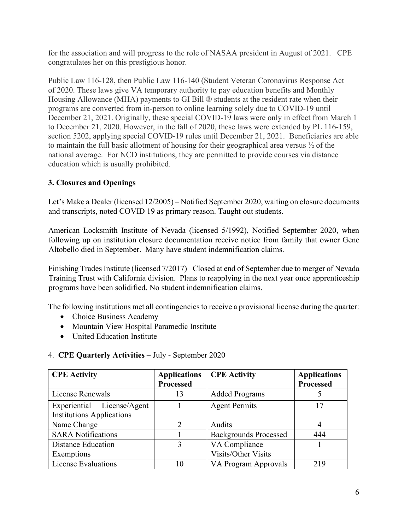for the association and will progress to the role of NASAA president in August of 2021. CPE congratulates her on this prestigious honor.

Public Law 116-128, then Public Law 116-140 (Student Veteran Coronavirus Response Act of 2020. These laws give VA temporary authority to pay education benefits and Monthly Housing Allowance (MHA) payments to GI Bill ® students at the resident rate when their programs are converted from in-person to online learning solely due to COVID-19 until December 21, 2021. Originally, these special COVID-19 laws were only in effect from March 1 to December 21, 2020. However, in the fall of 2020, these laws were extended by PL 116-159, section 5202, applying special COVID-19 rules until December 21, 2021. Beneficiaries are able to maintain the full basic allotment of housing for their geographical area versus ½ of the national average. For NCD institutions, they are permitted to provide courses via distance education which is usually prohibited.

# **3. Closures and Openings**

Let's Make a Dealer (licensed 12/2005) – Notified September 2020, waiting on closure documents and transcripts, noted COVID 19 as primary reason. Taught out students.

American Locksmith Institute of Nevada (licensed 5/1992), Notified September 2020, when following up on institution closure documentation receive notice from family that owner Gene Altobello died in September. Many have student indemnification claims.

Finishing Trades Institute (licensed 7/2017)– Closed at end of September due to merger of Nevada Training Trust with California division. Plans to reapplying in the next year once apprenticeship programs have been solidified. No student indemnification claims.

The following institutions met all contingencies to receive a provisional license during the quarter:

- Choice Business Academy
- Mountain View Hospital Paramedic Institute
- United Education Institute

| <b>CPE Activity</b>              | <b>Applications</b> | <b>CPE Activity</b>          | <b>Applications</b> |
|----------------------------------|---------------------|------------------------------|---------------------|
|                                  | <b>Processed</b>    |                              | <b>Processed</b>    |
| License Renewals                 | 13                  | <b>Added Programs</b>        |                     |
| Experiential License/Agent       |                     | <b>Agent Permits</b>         | 17                  |
| <b>Institutions Applications</b> |                     |                              |                     |
| Name Change                      | $\mathcal{D}$       | Audits                       | 4                   |
| <b>SARA Notifications</b>        |                     | <b>Backgrounds Processed</b> | 444                 |
| <b>Distance Education</b>        | 3                   | VA Compliance                |                     |
| Exemptions                       |                     | <b>Visits/Other Visits</b>   |                     |
| <b>License Evaluations</b>       | 10                  | VA Program Approvals         | 219                 |

# 4. **CPE Quarterly Activities** – July - September 2020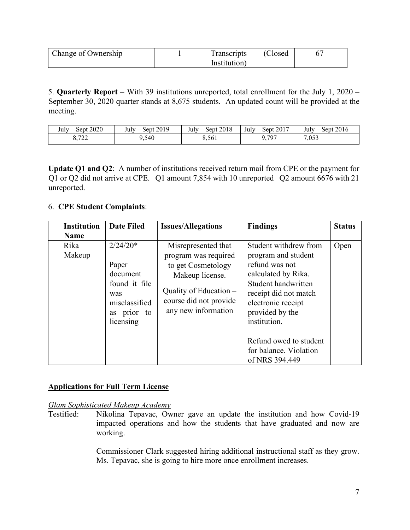| Change of Ownership | <b>Transcripts</b> | (Closed) |  |
|---------------------|--------------------|----------|--|
|                     | Institution)       |          |  |

5. **Quarterly Report** – With 39 institutions unreported, total enrollment for the July 1, 2020 – September 30, 2020 quarter stands at 8,675 students. An updated count will be provided at the meeting.

| t2020<br>$July -$<br>Sept         | Sept 2019<br>$July -$ | 2018<br>Sept<br>July<br>- | 2017<br>$July -$<br>Sept. | July<br>2016<br>Sept<br>__ |
|-----------------------------------|-----------------------|---------------------------|---------------------------|----------------------------|
| 722<br>$\mathbf{v}$<br>$\sqrt{2}$ | , 540                 | 8,561                     | ,797                      | 7,053                      |

**Update Q1 and Q2**: A number of institutions received return mail from CPE or the payment for Q1 or Q2 did not arrive at CPE. Q1 amount 7,854 with 10 unreported Q2 amount 6676 with 21 unreported.

# 6. **CPE Student Complaints**:

| <b>Institution</b> | <b>Date Filed</b>                                                                                       | <b>Issues/Allegations</b>                                                                                                                                         | <b>Findings</b>                                                                                                                                                                                                                                                      | <b>Status</b> |
|--------------------|---------------------------------------------------------------------------------------------------------|-------------------------------------------------------------------------------------------------------------------------------------------------------------------|----------------------------------------------------------------------------------------------------------------------------------------------------------------------------------------------------------------------------------------------------------------------|---------------|
| <b>Name</b>        |                                                                                                         |                                                                                                                                                                   |                                                                                                                                                                                                                                                                      |               |
| Rika<br>Makeup     | $2/24/20*$<br>Paper<br>document<br>found it file<br>was<br>misclassified<br>prior to<br>as<br>licensing | Misrepresented that<br>program was required<br>to get Cosmetology<br>Makeup license.<br>Quality of Education $-$<br>course did not provide<br>any new information | Student withdrew from<br>program and student<br>refund was not<br>calculated by Rika.<br>Student handwritten<br>receipt did not match<br>electronic receipt<br>provided by the<br>institution.<br>Refund owed to student<br>for balance. Violation<br>of NRS 394.449 | Open          |

# **Applications for Full Term License**

*Glam Sophisticated Makeup Academy*

Testified: Nikolina Tepavac, Owner gave an update the institution and how Covid-19 impacted operations and how the students that have graduated and now are working.

> Commissioner Clark suggested hiring additional instructional staff as they grow. Ms. Tepavac, she is going to hire more once enrollment increases.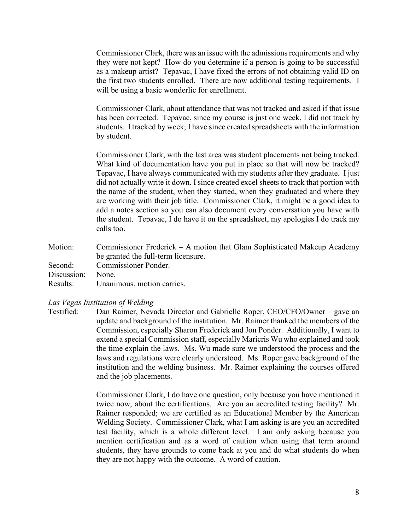Commissioner Clark, there was an issue with the admissionsrequirements and why they were not kept? How do you determine if a person is going to be successful as a makeup artist? Tepavac, I have fixed the errors of not obtaining valid ID on the first two students enrolled. There are now additional testing requirements. I will be using a basic wonderlic for enrollment.

Commissioner Clark, about attendance that was not tracked and asked if that issue has been corrected. Tepavac, since my course is just one week, I did not track by students. I tracked by week; I have since created spreadsheets with the information by student.

Commissioner Clark, with the last area was student placements not being tracked. What kind of documentation have you put in place so that will now be tracked? Tepavac, I have always communicated with my students after they graduate. I just did not actually write it down. I since created excel sheets to track that portion with the name of the student, when they started, when they graduated and where they are working with their job title. Commissioner Clark, it might be a good idea to add a notes section so you can also document every conversation you have with the student. Tepavac, I do have it on the spreadsheet, my apologies I do track my calls too.

Motion: Commissioner Frederick – A motion that Glam Sophisticated Makeup Academy be granted the full-term licensure. Second: Commissioner Ponder. Discussion: None. Results: Unanimous, motion carries.

#### *Las Vegas Institution of Welding*

Testified: Dan Raimer, Nevada Director and Gabrielle Roper, CEO/CFO/Owner – gave an update and background of the institution. Mr. Raimer thanked the members of the Commission, especially Sharon Frederick and Jon Ponder. Additionally, I want to extend a special Commission staff, especially Maricris Wu who explained and took the time explain the laws. Ms. Wu made sure we understood the process and the laws and regulations were clearly understood. Ms. Roper gave background of the institution and the welding business. Mr. Raimer explaining the courses offered and the job placements.

> Commissioner Clark, I do have one question, only because you have mentioned it twice now, about the certifications. Are you an accredited testing facility? Mr. Raimer responded; we are certified as an Educational Member by the American Welding Society. Commissioner Clark, what I am asking is are you an accredited test facility, which is a whole different level. I am only asking because you mention certification and as a word of caution when using that term around students, they have grounds to come back at you and do what students do when they are not happy with the outcome. A word of caution.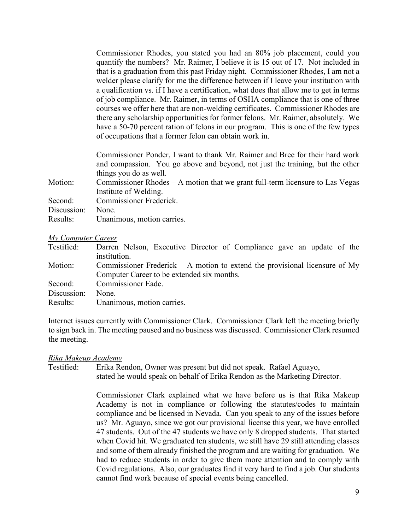Commissioner Rhodes, you stated you had an 80% job placement, could you quantify the numbers? Mr. Raimer, I believe it is 15 out of 17. Not included in that is a graduation from this past Friday night. Commissioner Rhodes, I am not a welder please clarify for me the difference between if I leave your institution with a qualification vs. if I have a certification, what does that allow me to get in terms of job compliance. Mr. Raimer, in terms of OSHA compliance that is one of three courses we offer here that are non-welding certificates. Commissioner Rhodes are there any scholarship opportunities for former felons. Mr. Raimer, absolutely. We have a 50-70 percent ration of felons in our program. This is one of the few types of occupations that a former felon can obtain work in.

Commissioner Ponder, I want to thank Mr. Raimer and Bree for their hard work and compassion. You go above and beyond, not just the training, but the other things you do as well.

Motion: Commissioner Rhodes – A motion that we grant full-term licensure to Las Vegas Institute of Welding.

| Second:           | Commissioner Frederick.    |
|-------------------|----------------------------|
| Discussion: None. |                            |
| Results:          | Unanimous, motion carries. |

### *My Computer Career*

| Testified:  | Darren Nelson, Executive Director of Compliance gave an update of the         |
|-------------|-------------------------------------------------------------------------------|
|             | institution.                                                                  |
| Motion:     | Commissioner Frederick $- A$ motion to extend the provisional licensure of My |
|             | Computer Career to be extended six months.                                    |
| Second:     | Commissioner Eade.                                                            |
| Discussion: | None.                                                                         |
| Results:    | Unanimous, motion carries.                                                    |

Internet issues currently with Commissioner Clark. Commissioner Clark left the meeting briefly to sign back in. The meeting paused and no business was discussed. Commissioner Clark resumed the meeting.

## *Rika Makeup Academy*

Testified: Erika Rendon, Owner was present but did not speak. Rafael Aguayo, stated he would speak on behalf of Erika Rendon as the Marketing Director.

> Commissioner Clark explained what we have before us is that Rika Makeup Academy is not in compliance or following the statutes/codes to maintain compliance and be licensed in Nevada. Can you speak to any of the issues before us? Mr. Aguayo, since we got our provisional license this year, we have enrolled 47 students. Out of the 47 students we have only 8 dropped students. That started when Covid hit. We graduated ten students, we still have 29 still attending classes and some of them already finished the program and are waiting for graduation. We had to reduce students in order to give them more attention and to comply with Covid regulations. Also, our graduates find it very hard to find a job. Our students cannot find work because of special events being cancelled.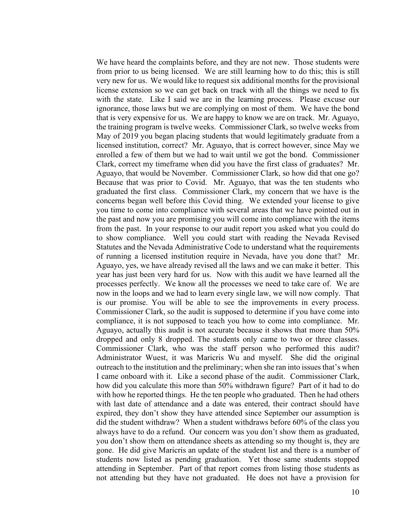We have heard the complaints before, and they are not new. Those students were from prior to us being licensed. We are still learning how to do this; this is still very new for us. We would like to request six additional months for the provisional license extension so we can get back on track with all the things we need to fix with the state. Like I said we are in the learning process. Please excuse our ignorance, those laws but we are complying on most of them. We have the bond that is very expensive for us. We are happy to know we are on track. Mr. Aguayo, the training program is twelve weeks. Commissioner Clark, so twelve weeks from May of 2019 you began placing students that would legitimately graduate from a licensed institution, correct? Mr. Aguayo, that is correct however, since May we enrolled a few of them but we had to wait until we got the bond. Commissioner Clark, correct my timeframe when did you have the first class of graduates? Mr. Aguayo, that would be November. Commissioner Clark, so how did that one go? Because that was prior to Covid. Mr. Aguayo, that was the ten students who graduated the first class. Commissioner Clark, my concern that we have is the concerns began well before this Covid thing. We extended your license to give you time to come into compliance with several areas that we have pointed out in the past and now you are promising you will come into compliance with the items from the past. In your response to our audit report you asked what you could do to show compliance. Well you could start with reading the Nevada Revised Statutes and the Nevada Administrative Code to understand what the requirements of running a licensed institution require in Nevada, have you done that? Mr. Aguayo, yes, we have already revised all the laws and we can make it better. This year has just been very hard for us. Now with this audit we have learned all the processes perfectly. We know all the processes we need to take care of. We are now in the loops and we had to learn every single law, we will now comply. That is our promise. You will be able to see the improvements in every process. Commissioner Clark, so the audit is supposed to determine if you have come into compliance, it is not supposed to teach you how to come into compliance. Mr. Aguayo, actually this audit is not accurate because it shows that more than 50% dropped and only 8 dropped. The students only came to two or three classes. Commissioner Clark, who was the staff person who performed this audit? Administrator Wuest, it was Maricris Wu and myself. She did the original outreach to the institution and the preliminary; when she ran into issues that's when I came onboard with it. Like a second phase of the audit. Commissioner Clark, how did you calculate this more than 50% withdrawn figure? Part of it had to do with how he reported things. He the ten people who graduated. Then he had others with last date of attendance and a date was entered, their contract should have expired, they don't show they have attended since September our assumption is did the student withdraw? When a student withdraws before 60% of the class you always have to do a refund. Our concern was you don't show them as graduated, you don't show them on attendance sheets as attending so my thought is, they are gone. He did give Maricris an update of the student list and there is a number of students now listed as pending graduation. Yet those same students stopped attending in September. Part of that report comes from listing those students as not attending but they have not graduated. He does not have a provision for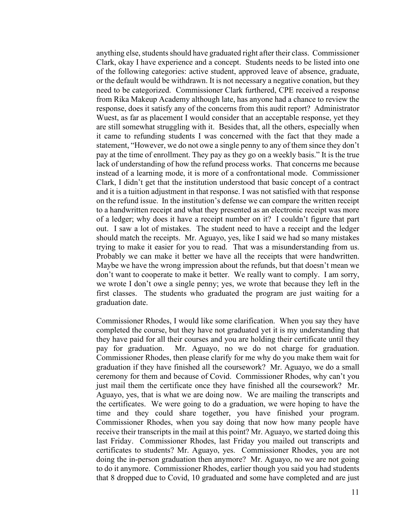anything else, students should have graduated right after their class. Commissioner Clark, okay I have experience and a concept. Students needs to be listed into one of the following categories: active student, approved leave of absence, graduate, or the default would be withdrawn. It is not necessary a negative conation, but they need to be categorized. Commissioner Clark furthered, CPE received a response from Rika Makeup Academy although late, has anyone had a chance to review the response, does it satisfy any of the concerns from this audit report? Administrator Wuest, as far as placement I would consider that an acceptable response, yet they are still somewhat struggling with it. Besides that, all the others, especially when it came to refunding students I was concerned with the fact that they made a statement, "However, we do not owe a single penny to any of them since they don't pay at the time of enrollment. They pay as they go on a weekly basis." It is the true lack of understanding of how the refund process works. That concerns me because instead of a learning mode, it is more of a confrontational mode. Commissioner Clark, I didn't get that the institution understood that basic concept of a contract and it is a tuition adjustment in that response. I was not satisfied with that response on the refund issue. In the institution's defense we can compare the written receipt to a handwritten receipt and what they presented as an electronic receipt was more of a ledger; why does it have a receipt number on it? I couldn't figure that part out. I saw a lot of mistakes. The student need to have a receipt and the ledger should match the receipts. Mr. Aguayo, yes, like I said we had so many mistakes trying to make it easier for you to read. That was a misunderstanding from us. Probably we can make it better we have all the receipts that were handwritten. Maybe we have the wrong impression about the refunds, but that doesn't mean we don't want to cooperate to make it better. We really want to comply. I am sorry, we wrote I don't owe a single penny; yes, we wrote that because they left in the first classes. The students who graduated the program are just waiting for a graduation date.

Commissioner Rhodes, I would like some clarification. When you say they have completed the course, but they have not graduated yet it is my understanding that they have paid for all their courses and you are holding their certificate until they pay for graduation. Mr. Aguayo, no we do not charge for graduation. Commissioner Rhodes, then please clarify for me why do you make them wait for graduation if they have finished all the coursework? Mr. Aguayo, we do a small ceremony for them and because of Covid. Commissioner Rhodes, why can't you just mail them the certificate once they have finished all the coursework? Mr. Aguayo, yes, that is what we are doing now. We are mailing the transcripts and the certificates. We were going to do a graduation, we were hoping to have the time and they could share together, you have finished your program. Commissioner Rhodes, when you say doing that now how many people have receive their transcripts in the mail at this point? Mr. Aguayo, we started doing this last Friday. Commissioner Rhodes, last Friday you mailed out transcripts and certificates to students? Mr. Aguayo, yes. Commissioner Rhodes, you are not doing the in-person graduation then anymore? Mr. Aguayo, no we are not going to do it anymore. Commissioner Rhodes, earlier though you said you had students that 8 dropped due to Covid, 10 graduated and some have completed and are just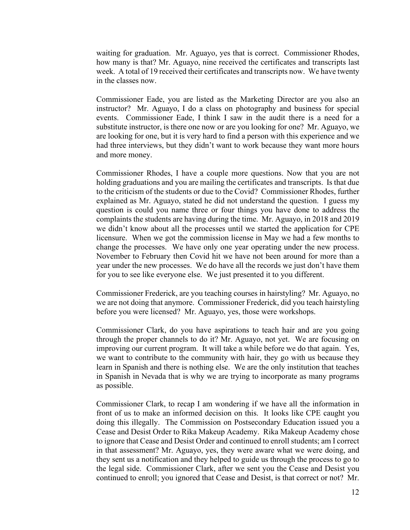waiting for graduation. Mr. Aguayo, yes that is correct. Commissioner Rhodes, how many is that? Mr. Aguayo, nine received the certificates and transcripts last week. A total of 19 received their certificates and transcripts now. We have twenty in the classes now.

Commissioner Eade, you are listed as the Marketing Director are you also an instructor? Mr. Aguayo, I do a class on photography and business for special events. Commissioner Eade, I think I saw in the audit there is a need for a substitute instructor, is there one now or are you looking for one? Mr. Aguayo, we are looking for one, but it is very hard to find a person with this experience and we had three interviews, but they didn't want to work because they want more hours and more money.

Commissioner Rhodes, I have a couple more questions. Now that you are not holding graduations and you are mailing the certificates and transcripts. Is that due to the criticism of the students or due to the Covid? Commissioner Rhodes, further explained as Mr. Aguayo, stated he did not understand the question. I guess my question is could you name three or four things you have done to address the complaints the students are having during the time. Mr. Aguayo, in 2018 and 2019 we didn't know about all the processes until we started the application for CPE licensure. When we got the commission license in May we had a few months to change the processes. We have only one year operating under the new process. November to February then Covid hit we have not been around for more than a year under the new processes. We do have all the records we just don't have them for you to see like everyone else. We just presented it to you different.

Commissioner Frederick, are you teaching courses in hairstyling? Mr. Aguayo, no we are not doing that anymore. Commissioner Frederick, did you teach hairstyling before you were licensed? Mr. Aguayo, yes, those were workshops.

Commissioner Clark, do you have aspirations to teach hair and are you going through the proper channels to do it? Mr. Aguayo, not yet. We are focusing on improving our current program. It will take a while before we do that again. Yes, we want to contribute to the community with hair, they go with us because they learn in Spanish and there is nothing else. We are the only institution that teaches in Spanish in Nevada that is why we are trying to incorporate as many programs as possible.

Commissioner Clark, to recap I am wondering if we have all the information in front of us to make an informed decision on this. It looks like CPE caught you doing this illegally. The Commission on Postsecondary Education issued you a Cease and Desist Order to Rika Makeup Academy. Rika Makeup Academy chose to ignore that Cease and Desist Order and continued to enroll students; am I correct in that assessment? Mr. Aguayo, yes, they were aware what we were doing, and they sent us a notification and they helped to guide us through the process to go to the legal side. Commissioner Clark, after we sent you the Cease and Desist you continued to enroll; you ignored that Cease and Desist, is that correct or not? Mr.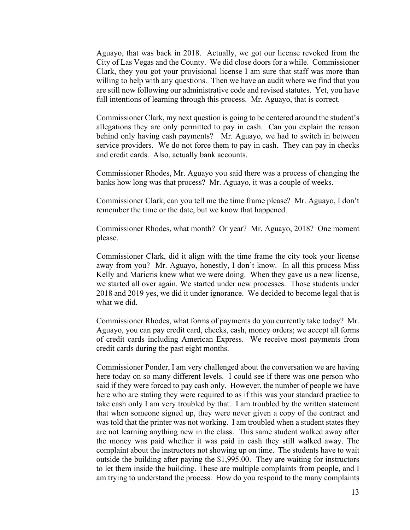Aguayo, that was back in 2018. Actually, we got our license revoked from the City of Las Vegas and the County. We did close doors for a while. Commissioner Clark, they you got your provisional license I am sure that staff was more than willing to help with any questions. Then we have an audit where we find that you are still now following our administrative code and revised statutes. Yet, you have full intentions of learning through this process. Mr. Aguayo, that is correct.

Commissioner Clark, my next question is going to be centered around the student's allegations they are only permitted to pay in cash. Can you explain the reason behind only having cash payments? Mr. Aguayo, we had to switch in between service providers. We do not force them to pay in cash. They can pay in checks and credit cards. Also, actually bank accounts.

Commissioner Rhodes, Mr. Aguayo you said there was a process of changing the banks how long was that process? Mr. Aguayo, it was a couple of weeks.

Commissioner Clark, can you tell me the time frame please? Mr. Aguayo, I don't remember the time or the date, but we know that happened.

Commissioner Rhodes, what month? Or year? Mr. Aguayo, 2018? One moment please.

Commissioner Clark, did it align with the time frame the city took your license away from you? Mr. Aguayo, honestly, I don't know. In all this process Miss Kelly and Maricris knew what we were doing. When they gave us a new license, we started all over again. We started under new processes. Those students under 2018 and 2019 yes, we did it under ignorance. We decided to become legal that is what we did.

Commissioner Rhodes, what forms of payments do you currently take today? Mr. Aguayo, you can pay credit card, checks, cash, money orders; we accept all forms of credit cards including American Express. We receive most payments from credit cards during the past eight months.

Commissioner Ponder, I am very challenged about the conversation we are having here today on so many different levels. I could see if there was one person who said if they were forced to pay cash only. However, the number of people we have here who are stating they were required to as if this was your standard practice to take cash only I am very troubled by that. I am troubled by the written statement that when someone signed up, they were never given a copy of the contract and was told that the printer was not working. I am troubled when a student states they are not learning anything new in the class. This same student walked away after the money was paid whether it was paid in cash they still walked away. The complaint about the instructors not showing up on time. The students have to wait outside the building after paying the \$1,995.00. They are waiting for instructors to let them inside the building. These are multiple complaints from people, and I am trying to understand the process. How do you respond to the many complaints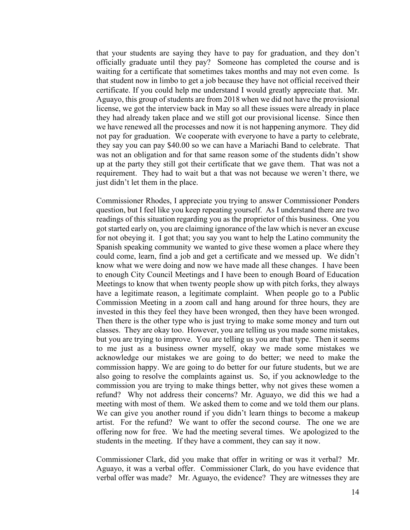that your students are saying they have to pay for graduation, and they don't officially graduate until they pay? Someone has completed the course and is waiting for a certificate that sometimes takes months and may not even come. Is that student now in limbo to get a job because they have not official received their certificate. If you could help me understand I would greatly appreciate that. Mr. Aguayo, this group of students are from 2018 when we did not have the provisional license, we got the interview back in May so all these issues were already in place they had already taken place and we still got our provisional license. Since then we have renewed all the processes and now it is not happening anymore. They did not pay for graduation. We cooperate with everyone to have a party to celebrate, they say you can pay \$40.00 so we can have a Mariachi Band to celebrate. That was not an obligation and for that same reason some of the students didn't show up at the party they still got their certificate that we gave them. That was not a requirement. They had to wait but a that was not because we weren't there, we just didn't let them in the place.

Commissioner Rhodes, I appreciate you trying to answer Commissioner Ponders question, but I feel like you keep repeating yourself. As I understand there are two readings of this situation regarding you as the proprietor of this business. One you got started early on, you are claiming ignorance of the law which is never an excuse for not obeying it. I got that; you say you want to help the Latino community the Spanish speaking community we wanted to give these women a place where they could come, learn, find a job and get a certificate and we messed up. We didn't know what we were doing and now we have made all these changes. I have been to enough City Council Meetings and I have been to enough Board of Education Meetings to know that when twenty people show up with pitch forks, they always have a legitimate reason, a legitimate complaint. When people go to a Public Commission Meeting in a zoom call and hang around for three hours, they are invested in this they feel they have been wronged, then they have been wronged. Then there is the other type who is just trying to make some money and turn out classes. They are okay too. However, you are telling us you made some mistakes, but you are trying to improve. You are telling us you are that type. Then it seems to me just as a business owner myself, okay we made some mistakes we acknowledge our mistakes we are going to do better; we need to make the commission happy. We are going to do better for our future students, but we are also going to resolve the complaints against us. So, if you acknowledge to the commission you are trying to make things better, why not gives these women a refund? Why not address their concerns? Mr. Aguayo, we did this we had a meeting with most of them. We asked them to come and we told them our plans. We can give you another round if you didn't learn things to become a makeup artist. For the refund? We want to offer the second course. The one we are offering now for free. We had the meeting several times. We apologized to the students in the meeting. If they have a comment, they can say it now.

Commissioner Clark, did you make that offer in writing or was it verbal? Mr. Aguayo, it was a verbal offer. Commissioner Clark, do you have evidence that verbal offer was made? Mr. Aguayo, the evidence? They are witnesses they are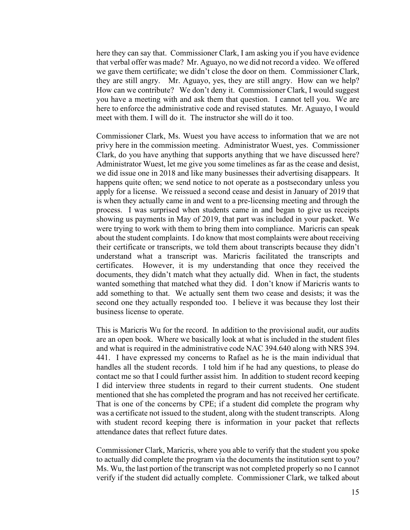here they can say that. Commissioner Clark, I am asking you if you have evidence that verbal offer was made? Mr. Aguayo, no we did not record a video. We offered we gave them certificate; we didn't close the door on them. Commissioner Clark, they are still angry. Mr. Aguayo, yes, they are still angry. How can we help? How can we contribute? We don't deny it. Commissioner Clark, I would suggest you have a meeting with and ask them that question. I cannot tell you. We are here to enforce the administrative code and revised statutes. Mr. Aguayo, I would meet with them. I will do it. The instructor she will do it too.

Commissioner Clark, Ms. Wuest you have access to information that we are not privy here in the commission meeting. Administrator Wuest, yes. Commissioner Clark, do you have anything that supports anything that we have discussed here? Administrator Wuest, let me give you some timelines as far as the cease and desist, we did issue one in 2018 and like many businesses their advertising disappears. It happens quite often; we send notice to not operate as a postsecondary unless you apply for a license. We reissued a second cease and desist in January of 2019 that is when they actually came in and went to a pre-licensing meeting and through the process. I was surprised when students came in and began to give us receipts showing us payments in May of 2019, that part was included in your packet. We were trying to work with them to bring them into compliance. Maricris can speak about the student complaints. I do know that most complaints were about receiving their certificate or transcripts, we told them about transcripts because they didn't understand what a transcript was. Maricris facilitated the transcripts and certificates. However, it is my understanding that once they received the documents, they didn't match what they actually did. When in fact, the students wanted something that matched what they did. I don't know if Maricris wants to add something to that. We actually sent them two cease and desists; it was the second one they actually responded too. I believe it was because they lost their business license to operate.

This is Maricris Wu for the record. In addition to the provisional audit, our audits are an open book. Where we basically look at what is included in the student files and what is required in the administrative code NAC 394.640 along with NRS 394. 441. I have expressed my concerns to Rafael as he is the main individual that handles all the student records. I told him if he had any questions, to please do contact me so that I could further assist him. In addition to student record keeping I did interview three students in regard to their current students. One student mentioned that she has completed the program and has not received her certificate. That is one of the concerns by CPE; if a student did complete the program why was a certificate not issued to the student, along with the student transcripts. Along with student record keeping there is information in your packet that reflects attendance dates that reflect future dates.

Commissioner Clark, Maricris, where you able to verify that the student you spoke to actually did complete the program via the documents the institution sent to you? Ms. Wu, the last portion of the transcript was not completed properly so no I cannot verify if the student did actually complete. Commissioner Clark, we talked about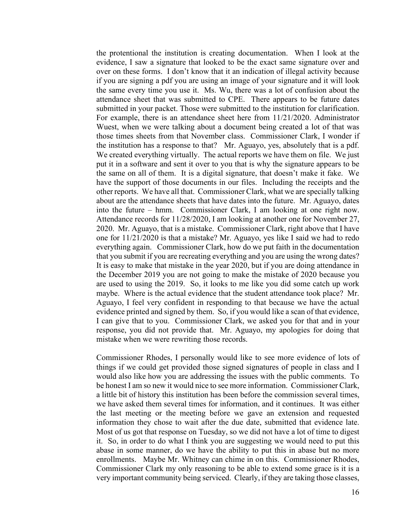the protentional the institution is creating documentation. When I look at the evidence, I saw a signature that looked to be the exact same signature over and over on these forms. I don't know that it an indication of illegal activity because if you are signing a pdf you are using an image of your signature and it will look the same every time you use it. Ms. Wu, there was a lot of confusion about the attendance sheet that was submitted to CPE. There appears to be future dates submitted in your packet. Those were submitted to the institution for clarification. For example, there is an attendance sheet here from 11/21/2020. Administrator Wuest, when we were talking about a document being created a lot of that was those times sheets from that November class. Commissioner Clark, I wonder if the institution has a response to that? Mr. Aguayo, yes, absolutely that is a pdf. We created everything virtually. The actual reports we have them on file. We just put it in a software and sent it over to you that is why the signature appears to be the same on all of them. It is a digital signature, that doesn't make it fake. We have the support of those documents in our files. Including the receipts and the other reports. We have all that. Commissioner Clark, what we are specially talking about are the attendance sheets that have dates into the future. Mr. Aguayo, dates into the future – hmm. Commissioner Clark, I am looking at one right now. Attendance records for 11/28/2020, I am looking at another one for November 27, 2020. Mr. Aguayo, that is a mistake. Commissioner Clark, right above that I have one for 11/21/2020 is that a mistake? Mr. Aguayo, yes like I said we had to redo everything again. Commissioner Clark, how do we put faith in the documentation that you submit if you are recreating everything and you are using the wrong dates? It is easy to make that mistake in the year 2020, but if you are doing attendance in the December 2019 you are not going to make the mistake of 2020 because you are used to using the 2019. So, it looks to me like you did some catch up work maybe. Where is the actual evidence that the student attendance took place? Mr. Aguayo, I feel very confident in responding to that because we have the actual evidence printed and signed by them. So, if you would like a scan of that evidence, I can give that to you. Commissioner Clark, we asked you for that and in your response, you did not provide that. Mr. Aguayo, my apologies for doing that mistake when we were rewriting those records.

Commissioner Rhodes, I personally would like to see more evidence of lots of things if we could get provided those signed signatures of people in class and I would also like how you are addressing the issues with the public comments. To be honest I am so new it would nice to see more information. Commissioner Clark, a little bit of history this institution has been before the commission several times, we have asked them several times for information, and it continues. It was either the last meeting or the meeting before we gave an extension and requested information they chose to wait after the due date, submitted that evidence late. Most of us got that response on Tuesday, so we did not have a lot of time to digest it. So, in order to do what I think you are suggesting we would need to put this abase in some manner, do we have the ability to put this in abase but no more enrollments. Maybe Mr. Whitney can chime in on this. Commissioner Rhodes, Commissioner Clark my only reasoning to be able to extend some grace is it is a very important community being serviced. Clearly, if they are taking those classes,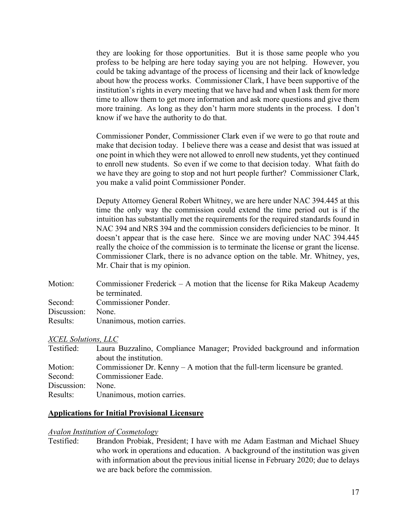they are looking for those opportunities. But it is those same people who you profess to be helping are here today saying you are not helping. However, you could be taking advantage of the process of licensing and their lack of knowledge about how the process works. Commissioner Clark, I have been supportive of the institution's rights in every meeting that we have had and when I ask them for more time to allow them to get more information and ask more questions and give them more training. As long as they don't harm more students in the process. I don't know if we have the authority to do that.

Commissioner Ponder, Commissioner Clark even if we were to go that route and make that decision today. I believe there was a cease and desist that was issued at one point in which they were not allowed to enroll new students, yet they continued to enroll new students. So even if we come to that decision today. What faith do we have they are going to stop and not hurt people further? Commissioner Clark, you make a valid point Commissioner Ponder.

Deputy Attorney General Robert Whitney, we are here under NAC 394.445 at this time the only way the commission could extend the time period out is if the intuition has substantially met the requirements for the required standards found in NAC 394 and NRS 394 and the commission considers deficiencies to be minor. It doesn't appear that is the case here. Since we are moving under NAC 394.445 really the choice of the commission is to terminate the license or grant the license. Commissioner Clark, there is no advance option on the table. Mr. Whitney, yes, Mr. Chair that is my opinion.

| Motion:     | Commissioner Frederick $- A$ motion that the license for Rika Makeup Academy |
|-------------|------------------------------------------------------------------------------|
|             | be terminated.                                                               |
|             | Second: Commissioner Ponder.                                                 |
| Discussion: | None.                                                                        |
| Results:    | Unanimous, motion carries.                                                   |

### *XCEL Solutions, LLC*

| Testified:  | Laura Buzzalino, Compliance Manager; Provided background and information     |
|-------------|------------------------------------------------------------------------------|
|             | about the institution.                                                       |
| Motion:     | Commissioner Dr. Kenny $- A$ motion that the full-term licensure be granted. |
| Second:     | Commissioner Eade.                                                           |
| Discussion: | None.                                                                        |
| Results:    | Unanimous, motion carries.                                                   |

### **Applications for Initial Provisional Licensure**

#### *Avalon Institution of Cosmetology*

Testified: Brandon Probiak, President; I have with me Adam Eastman and Michael Shuey who work in operations and education. A background of the institution was given with information about the previous initial license in February 2020; due to delays we are back before the commission.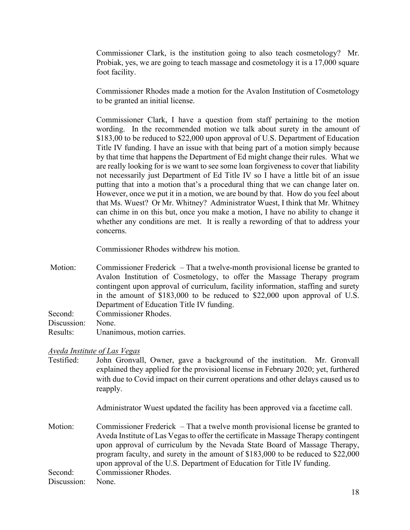Commissioner Clark, is the institution going to also teach cosmetology? Mr. Probiak, yes, we are going to teach massage and cosmetology it is a 17,000 square foot facility.

Commissioner Rhodes made a motion for the Avalon Institution of Cosmetology to be granted an initial license.

Commissioner Clark, I have a question from staff pertaining to the motion wording. In the recommended motion we talk about surety in the amount of \$183,00 to be reduced to \$22,000 upon approval of U.S. Department of Education Title IV funding. I have an issue with that being part of a motion simply because by that time that happens the Department of Ed might change their rules. What we are really looking for is we want to see some loan forgiveness to cover that liability not necessarily just Department of Ed Title IV so I have a little bit of an issue putting that into a motion that's a procedural thing that we can change later on. However, once we put it in a motion, we are bound by that. How do you feel about that Ms. Wuest? Or Mr. Whitney? Administrator Wuest, I think that Mr. Whitney can chime in on this but, once you make a motion, I have no ability to change it whether any conditions are met. It is really a rewording of that to address your concerns.

Commissioner Rhodes withdrew his motion.

Motion: Commissioner Frederick – That a twelve-month provisional license be granted to Avalon Institution of Cosmetology, to offer the Massage Therapy program contingent upon approval of curriculum, facility information, staffing and surety in the amount of \$183,000 to be reduced to \$22,000 upon approval of U.S. Department of Education Title IV funding. Second: Commissioner Rhodes. Discussion: None. Results: Unanimous, motion carries.

## *Aveda Institute of Las Vegas*

Testified: John Gronvall, Owner, gave a background of the institution. Mr. Gronvall explained they applied for the provisional license in February 2020; yet, furthered with due to Covid impact on their current operations and other delays caused us to reapply.

Administrator Wuest updated the facility has been approved via a facetime call.

Motion: Commissioner Frederick – That a twelve month provisional license be granted to Aveda Institute of Las Vegas to offer the certificate in Massage Therapy contingent upon approval of curriculum by the Nevada State Board of Massage Therapy, program faculty, and surety in the amount of \$183,000 to be reduced to \$22,000 upon approval of the U.S. Department of Education for Title IV funding. Second: Commissioner Rhodes.

Discussion: None.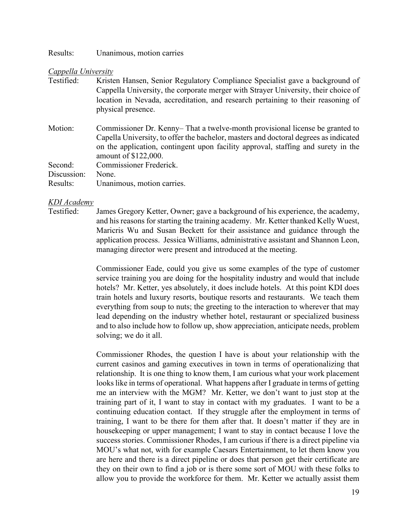Results: Unanimous, motion carries

#### *Cappella University*

| Testified:  | Kristen Hansen, Senior Regulatory Compliance Specialist gave a background of                                                                                              |
|-------------|---------------------------------------------------------------------------------------------------------------------------------------------------------------------------|
|             | Cappella University, the corporate merger with Strayer University, their choice of                                                                                        |
|             | location in Nevada, accreditation, and research pertaining to their reasoning of                                                                                          |
|             | physical presence.                                                                                                                                                        |
| Motion:     | Commissioner Dr. Kenny–That a twelve-month provisional license be granted to                                                                                              |
|             | Capella University, to offer the bachelor, masters and doctoral degrees as indicated<br>on the application, contingent upon facility approval, staffing and surety in the |
|             | amount of \$122,000.                                                                                                                                                      |
| Second:     | Commissioner Frederick.                                                                                                                                                   |
| Discussion: | None.                                                                                                                                                                     |
| Results:    | Unanimous, motion carries.                                                                                                                                                |

### *KDI Academy*

Testified: James Gregory Ketter, Owner; gave a background of his experience, the academy, and his reasons for starting the training academy. Mr. Ketter thanked Kelly Wuest, Maricris Wu and Susan Beckett for their assistance and guidance through the application process. Jessica Williams, administrative assistant and Shannon Leon, managing director were present and introduced at the meeting.

> Commissioner Eade, could you give us some examples of the type of customer service training you are doing for the hospitality industry and would that include hotels? Mr. Ketter, yes absolutely, it does include hotels. At this point KDI does train hotels and luxury resorts, boutique resorts and restaurants. We teach them everything from soup to nuts; the greeting to the interaction to wherever that may lead depending on the industry whether hotel, restaurant or specialized business and to also include how to follow up, show appreciation, anticipate needs, problem solving; we do it all.

> Commissioner Rhodes, the question I have is about your relationship with the current casinos and gaming executives in town in terms of operationalizing that relationship. It is one thing to know them, I am curious what your work placement looks like in terms of operational. What happens after I graduate in terms of getting me an interview with the MGM? Mr. Ketter, we don't want to just stop at the training part of it, I want to stay in contact with my graduates. I want to be a continuing education contact. If they struggle after the employment in terms of training, I want to be there for them after that. It doesn't matter if they are in housekeeping or upper management; I want to stay in contact because I love the success stories. Commissioner Rhodes, I am curious if there is a direct pipeline via MOU's what not, with for example Caesars Entertainment, to let them know you are here and there is a direct pipeline or does that person get their certificate are they on their own to find a job or is there some sort of MOU with these folks to allow you to provide the workforce for them. Mr. Ketter we actually assist them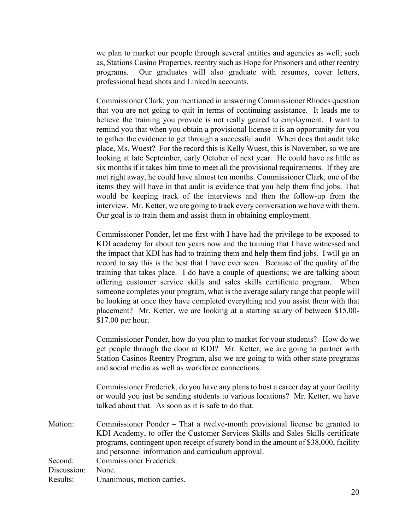we plan to market our people through several entities and agencies as well; such as, Stations Casino Properties, reentry such as Hope for Prisoners and other reentry programs. Our graduates will also graduate with resumes, cover letters, professional head shots and LinkedIn accounts.

Commissioner Clark, you mentioned in answering Commissioner Rhodes question that you are not going to quit in terms of continuing assistance. It leads me to believe the training you provide is not really geared to employment. I want to remind you that when you obtain a provisional license it is an opportunity for you to gather the evidence to get through a successful audit. When does that audit take place, Ms. Wuest? For the record this is Kelly Wuest, this is November, so we are looking at late September, early October of next year. He could have as little as six months if it takes him time to meet all the provisional requirements. If they are met right away, he could have almost ten months. Commissioner Clark, one of the items they will have in that audit is evidence that you help them find jobs. That would be keeping track of the interviews and then the follow-up from the interview. Mr. Ketter, we are going to track every conversation we have with them. Our goal is to train them and assist them in obtaining employment.

Commissioner Ponder, let me first with I have had the privilege to be exposed to KDI academy for about ten years now and the training that I have witnessed and the impact that KDI has had to training them and help them find jobs. I will go on record to say this is the best that I have ever seen. Because of the quality of the training that takes place. I do have a couple of questions; we are talking about offering customer service skills and sales skills certificate program. When someone completes your program, what is the average salary range that people will be looking at once they have completed everything and you assist them with that placement? Mr. Ketter, we are looking at a starting salary of between \$15.00- \$17.00 per hour.

Commissioner Ponder, how do you plan to market for your students? How do we get people through the door at KDI? Mr. Ketter, we are going to partner with Station Casinos Reentry Program, also we are going to with other state programs and social media as well as workforce connections.

Commissioner Frederick, do you have any plans to host a career day at your facility or would you just be sending students to various locations? Mr. Ketter, we have talked about that. As soon as it is safe to do that.

Motion: Commissioner Ponder – That a twelve-month provisional license be granted to KDI Academy, to offer the Customer Services Skills and Sales Skills certificate programs, contingent upon receipt of surety bond in the amount of \$38,000, facility and personnel information and curriculum approval. Second: Commissioner Frederick. Discussion: None. Results: Unanimous, motion carries.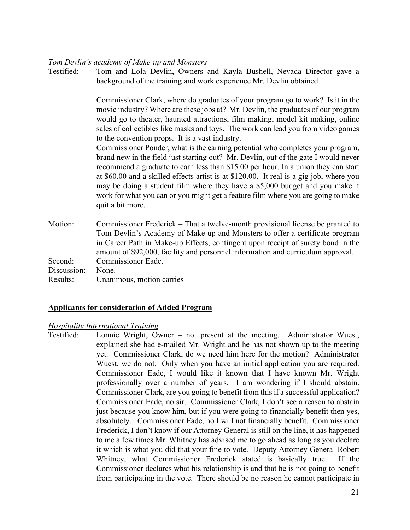### *Tom Devlin's academy of Make-up and Monsters*

Testified: Tom and Lola Devlin, Owners and Kayla Bushell, Nevada Director gave a background of the training and work experience Mr. Devlin obtained.

> Commissioner Clark, where do graduates of your program go to work? Is it in the movie industry? Where are these jobs at? Mr. Devlin, the graduates of our program would go to theater, haunted attractions, film making, model kit making, online sales of collectibles like masks and toys. The work can lead you from video games to the convention props. It is a vast industry.

> Commissioner Ponder, what is the earning potential who completes your program, brand new in the field just starting out? Mr. Devlin, out of the gate I would never recommend a graduate to earn less than \$15.00 per hour. In a union they can start at \$60.00 and a skilled effects artist is at \$120.00. It real is a gig job, where you may be doing a student film where they have a \$5,000 budget and you make it work for what you can or you might get a feature film where you are going to make quit a bit more.

Motion: Commissioner Frederick – That a twelve-month provisional license be granted to Tom Devlin's Academy of Make-up and Monsters to offer a certificate program in Career Path in Make-up Effects, contingent upon receipt of surety bond in the amount of \$92,000, facility and personnel information and curriculum approval. Second: Commissioner Eade. Discussion: None. Results: Unanimous, motion carries

### **Applicants for consideration of Added Program**

### *Hospitality International Training*

Testified: Lonnie Wright, Owner – not present at the meeting. Administrator Wuest, explained she had e-mailed Mr. Wright and he has not shown up to the meeting yet. Commissioner Clark, do we need him here for the motion? Administrator Wuest, we do not. Only when you have an initial application you are required. Commissioner Eade, I would like it known that I have known Mr. Wright professionally over a number of years. I am wondering if I should abstain. Commissioner Clark, are you going to benefit from this if a successful application? Commissioner Eade, no sir. Commissioner Clark, I don't see a reason to abstain just because you know him, but if you were going to financially benefit then yes, absolutely. Commissioner Eade, no I will not financially benefit. Commissioner Frederick, I don't know if our Attorney General is still on the line, it has happened to me a few times Mr. Whitney has advised me to go ahead as long as you declare it which is what you did that your fine to vote. Deputy Attorney General Robert Whitney, what Commissioner Frederick stated is basically true. If the Commissioner declares what his relationship is and that he is not going to benefit from participating in the vote. There should be no reason he cannot participate in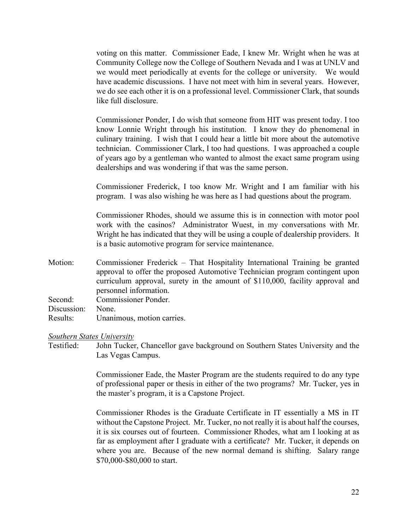voting on this matter. Commissioner Eade, I knew Mr. Wright when he was at Community College now the College of Southern Nevada and I was at UNLV and we would meet periodically at events for the college or university. We would have academic discussions. I have not meet with him in several years. However, we do see each other it is on a professional level. Commissioner Clark, that sounds like full disclosure.

Commissioner Ponder, I do wish that someone from HIT was present today. I too know Lonnie Wright through his institution. I know they do phenomenal in culinary training. I wish that I could hear a little bit more about the automotive technician. Commissioner Clark, I too had questions. I was approached a couple of years ago by a gentleman who wanted to almost the exact same program using dealerships and was wondering if that was the same person.

Commissioner Frederick, I too know Mr. Wright and I am familiar with his program. I was also wishing he was here as I had questions about the program.

Commissioner Rhodes, should we assume this is in connection with motor pool work with the casinos? Administrator Wuest, in my conversations with Mr. Wright he has indicated that they will be using a couple of dealership providers. It is a basic automotive program for service maintenance.

Motion: Commissioner Frederick – That Hospitality International Training be granted approval to offer the proposed Automotive Technician program contingent upon curriculum approval, surety in the amount of \$110,000, facility approval and personnel information. Second: Commissioner Ponder. Discussion: None. Results: Unanimous, motion carries.

### *Southern States University*

Testified: John Tucker, Chancellor gave background on Southern States University and the Las Vegas Campus.

> Commissioner Eade, the Master Program are the students required to do any type of professional paper or thesis in either of the two programs? Mr. Tucker, yes in the master's program, it is a Capstone Project.

> Commissioner Rhodes is the Graduate Certificate in IT essentially a MS in IT without the Capstone Project. Mr. Tucker, no not really it is about half the courses, it is six courses out of fourteen. Commissioner Rhodes, what am I looking at as far as employment after I graduate with a certificate? Mr. Tucker, it depends on where you are. Because of the new normal demand is shifting. Salary range \$70,000-\$80,000 to start.